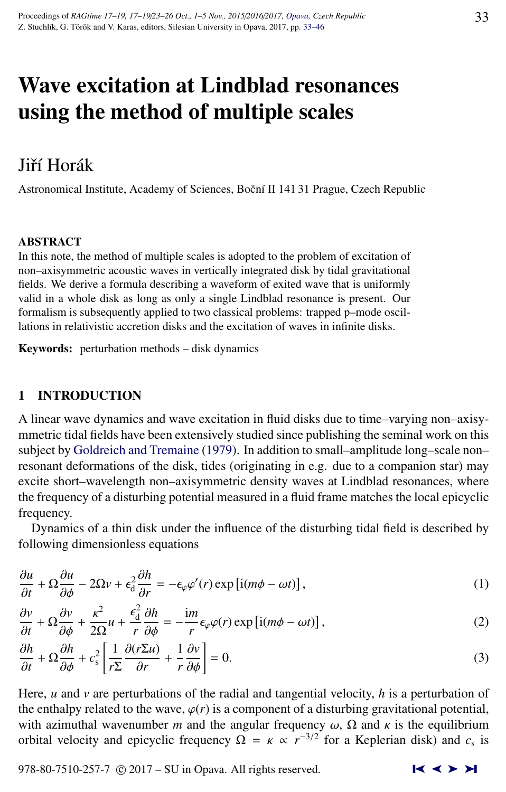# <span id="page-0-0"></span>Wave excitation at Lindblad resonances using the method of multiple scales

# Jiří Horák

Astronomical Institute, Academy of Sciences, Boční II 141 31 Prague, Czech Republic

#### ABSTRACT

In this note, the method of multiple scales is adopted to the problem of excitation of non–axisymmetric acoustic waves in vertically integrated disk by tidal gravitational fields. We derive a formula describing a waveform of exited wave that is uniformly valid in a whole disk as long as only a single Lindblad resonance is present. Our formalism is subsequently applied to two classical problems: trapped p–mode oscillations in relativistic accretion disks and the excitation of waves in infinite disks.

Keywords: perturbation methods – disk dynamics

# 1 INTRODUCTION

A linear wave dynamics and wave excitation in fluid disks due to time–varying non–axisymmetric tidal fields have been extensively studied since publishing the seminal work on this subject by [Goldreich and Tremaine](#page-12-0) [\(1979\)](#page-12-0). In addition to small–amplitude long–scale non– resonant deformations of the disk, tides (originating in e.g. due to a companion star) may excite short–wavelength non–axisymmetric density waves at Lindblad resonances, where the frequency of a disturbing potential measured in a fluid frame matches the local epicyclic frequency.

Dynamics of a thin disk under the influence of the disturbing tidal field is described by following dimensionless equations

$$
\frac{\partial u}{\partial t} + \Omega \frac{\partial u}{\partial \phi} - 2\Omega v + \epsilon_0^2 \frac{\partial h}{\partial r} = -\epsilon_\varphi \varphi'(r) \exp\left[i(m\phi - \omega t)\right],\tag{1}
$$

$$
\frac{\partial v}{\partial t} + \Omega \frac{\partial v}{\partial \phi} + \frac{\kappa^2}{2\Omega} u + \frac{\epsilon_d^2}{r} \frac{\partial h}{\partial \phi} = -\frac{im}{r} \epsilon_\varphi \varphi(r) \exp \left[i(m\phi - \omega t)\right],\tag{2}
$$

$$
\frac{\partial h}{\partial t} + \Omega \frac{\partial h}{\partial \phi} + c_s^2 \left[ \frac{1}{r \Sigma} \frac{\partial (r \Sigma u)}{\partial r} + \frac{1}{r} \frac{\partial v}{\partial \phi} \right] = 0.
$$
\n(3)

Here, *u* and *v* are perturbations of the radial and tangential velocity, *h* is a perturbation of the enthalpy related to the wave,  $\varphi(r)$  is a component of a disturbing gravitational potential, with azimuthal wavenumber *m* and the angular frequency  $\omega$ ,  $\Omega$  and  $\kappa$  is the equilibrium orbital velocity and epicyclic frequency  $\Omega = \kappa \propto r^{-3/2}$  for a Keplerian disk) and  $c_s$  is

978-80-7510-257-7  $\odot$  2017 – SU in Opava. All rights reserved.  $\blacksquare$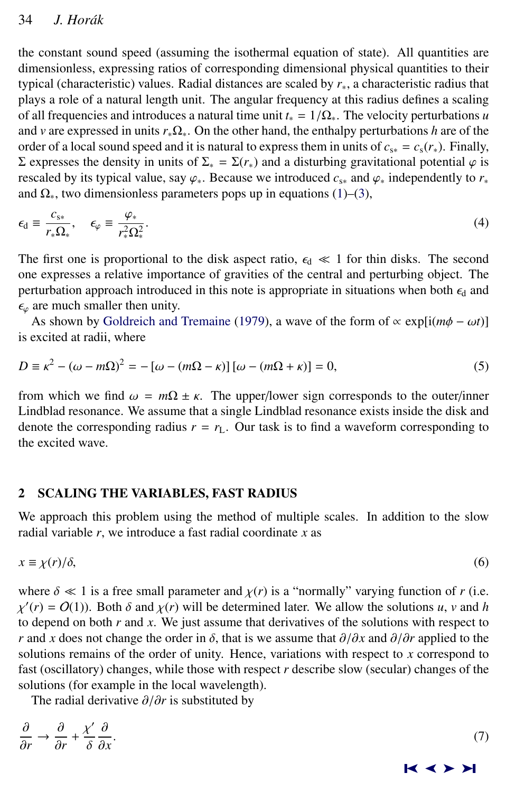<span id="page-1-0"></span>the constant sound speed (assuming the isothermal equation of state). All quantities are dimensionless, expressing ratios of corresponding dimensional physical quantities to their typical (characteristic) values. Radial distances are scaled by *r*∗, a characteristic radius that plays a role of a natural length unit. The angular frequency at this radius defines a scaling of all frequencies and introduces a natural time unit  $t_* = 1/\Omega_*$ . The velocity perturbations *u* and *v* are expressed in units *r*∗Ω∗. On the other hand, the enthalpy perturbations *h* are of the order of a local sound speed and it is natural to express them in units of  $c_{s*} = c_s(r_*)$ . Finally, Σ expresses the density in units of  $\Sigma$ <sub>\*</sub> = Σ( $r$ <sub>\*</sub>) and a disturbing gravitational potential  $\varphi$  is rescaled by its typical value, say  $\varphi_*$ . Because we introduced  $c_{s*}$  and  $\varphi_*$  independently to  $r_*$ and  $\Omega_*$ , two dimensionless parameters pops up in equations [\(1\)](#page-0-0)–[\(3\)](#page-0-0),

$$
\epsilon_{\rm d} \equiv \frac{c_{\rm s*}}{r_{\rm *}\Omega_{\rm *}}, \quad \epsilon_{\varphi} \equiv \frac{\varphi_{\rm *}}{r_{\rm *}^2\Omega_{\rm *}^2}.\tag{4}
$$

The first one is proportional to the disk aspect ratio,  $\epsilon_d \ll 1$  for thin disks. The second one expresses a relative importance of gravities of the central and perturbing object. The perturbation approach introduced in this note is appropriate in situations when both  $\epsilon_d$  and  $\epsilon_0$  are much smaller then unity.

As shown by [Goldreich and Tremaine](#page-12-0) [\(1979\)](#page-12-0), a wave of the form of  $\propto$  exp[i( $m\phi - \omega t$ )] is excited at radii, where

$$
D \equiv \kappa^2 - (\omega - m\Omega)^2 = -[\omega - (m\Omega - \kappa)] [\omega - (m\Omega + \kappa)] = 0,
$$
\n(5)

from which we find  $\omega = m\Omega \pm \kappa$ . The upper/lower sign corresponds to the outer/inner Lindblad resonance. We assume that a single Lindblad resonance exists inside the disk and denote the corresponding radius  $r = r<sub>L</sub>$ . Our task is to find a waveform corresponding to the excited wave.

## 2 SCALING THE VARIABLES, FAST RADIUS

We approach this problem using the method of multiple scales. In addition to the slow radial variable *r*, we introduce a fast radial coordinate *x* as

$$
x \equiv \chi(r)/\delta,\tag{6}
$$

where  $\delta \ll 1$  is a free small parameter and  $\chi(r)$  is a "normally" varying function of *r* (i.e. to depend on both  $r$  and  $x$ . We just assume that derivatives of the solutions with respect to  $\alpha(r) = O(1)$ ). Both  $\delta$  and  $\chi(r)$  will be determined later. We allow the solutions *u*, *v* and *h* and **h** and *r*. We just assume that derivatives of the solutions with respect to *r* and *x* does not change the order in  $\delta$ , that is we assume that  $\partial/\partial x$  and  $\partial/\partial r$  applied to the solutions remains of the order of unity. Hence, variations with respect to *x* correspond to fast (oscillatory) changes, while those with respect *r* describe slow (secular) changes of the solutions (for example in the local wavelength).

The radial derivative ∂/∂*<sup>r</sup>* is substituted by

| $\frac{\partial}{\partial r} \rightarrow \frac{\partial}{\partial r} + \frac{\chi'}{\delta} \frac{\partial}{\partial x}.$ |  |
|---------------------------------------------------------------------------------------------------------------------------|--|
|                                                                                                                           |  |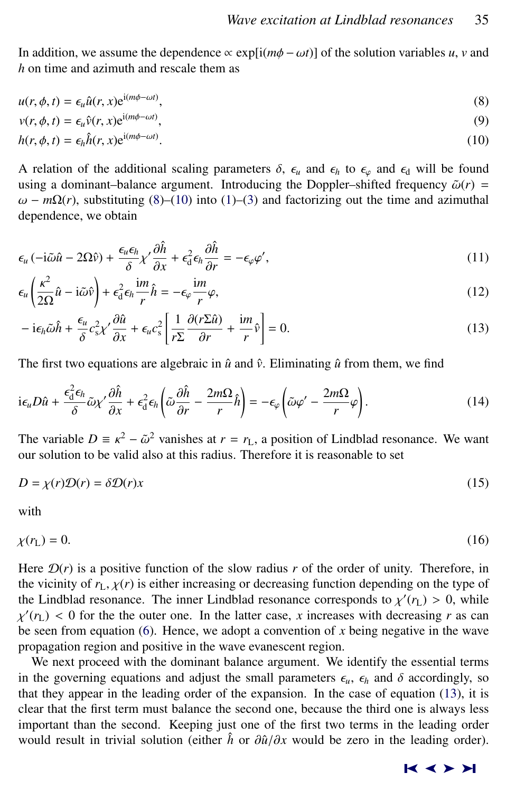<span id="page-2-0"></span>In addition, we assume the dependence  $\propto$  exp[i( $m\phi - \omega t$ )] of the solution variables *u*, *v* and *h* on time and azimuth and rescale them as

$$
u(r, \phi, t) = \epsilon_u \hat{u}(r, x) e^{i(m\phi - \omega t)},
$$
\n(8)

$$
v(r, \phi, t) = \epsilon_u \hat{v}(r, x) e^{i(m\phi - \omega t)},
$$
\n(9)

$$
h(r, \phi, t) = \epsilon_h \hat{h}(r, x) e^{i(m\phi - \omega t)}.
$$
\n(10)

A relation of the additional scaling parameters  $\delta$ ,  $\epsilon_u$  and  $\epsilon_h$  to  $\epsilon_\varphi$  and  $\epsilon_d$  will be found using a dominant–balance argument. Introducing the Doppler–shifted frequency  $\tilde{\omega}(r)$  =  $ω - mΩ(r)$ , substituting (8)–(10) into [\(1\)](#page-0-0)–[\(3\)](#page-0-0) and factorizing out the time and azimuthal dependence, we obtain

$$
\epsilon_{\mu} \left( -i\tilde{\omega}\hat{u} - 2\Omega\hat{v} \right) + \frac{\epsilon_{\mu}\epsilon_{h}}{\delta} \chi' \frac{\partial \hat{h}}{\partial x} + \epsilon_{d}^{2} \epsilon_{h} \frac{\partial \hat{h}}{\partial r} = -\epsilon_{\varphi} \varphi',
$$
\n(11)

$$
\epsilon_u \left( \frac{\kappa^2}{2\Omega} \hat{u} - i \tilde{\omega} \hat{v} \right) + \epsilon_d^2 \epsilon_h \frac{im}{r} \hat{h} = -\epsilon_\varphi \frac{im}{r} \varphi,
$$
\n(12)

$$
- i\epsilon_h \tilde{\omega}\hat{h} + \frac{\epsilon_u}{\delta} c_s^2 \chi' \frac{\partial \hat{u}}{\partial x} + \epsilon_u c_s^2 \left[ \frac{1}{r \Sigma} \frac{\partial (r \Sigma \hat{u})}{\partial r} + \frac{im}{r} \hat{v} \right] = 0.
$$
 (13)

The first two equations are algebraic in  $\hat{u}$  and  $\hat{v}$ . Eliminating  $\hat{u}$  from them, we find

$$
i\epsilon_{\mu}D\hat{u} + \frac{\epsilon_{d}^{2}\epsilon_{h}}{\delta}\tilde{\omega}\chi'\frac{\partial\hat{h}}{\partial x} + \epsilon_{d}^{2}\epsilon_{h}\left(\tilde{\omega}\frac{\partial\hat{h}}{\partial r} - \frac{2m\Omega}{r}\hat{h}\right) = -\epsilon_{\varphi}\left(\tilde{\omega}\varphi' - \frac{2m\Omega}{r}\varphi\right).
$$
 (14)

The variable  $D = \kappa^2 - \tilde{\omega}^2$  vanishes at  $r = r_L$ , a position of Lindblad resonance. We want our solution to be valid also at this radius. Therefore it is reasonable to set our solution to be valid also at this radius. Therefore it is reasonable to set

$$
D = \chi(r)\mathcal{D}(r) = \delta\mathcal{D}(r)x\tag{15}
$$

with

 $\chi(r_{\rm L}) = 0.$  (16)

Here  $\mathcal{D}(r)$  is a positive function of the slow radius r of the order of unity. Therefore, in the vicinity of  $r<sub>L</sub>, \chi(r)$  is either increasing or decreasing function depending on the type of the Lindblad resonance. The inner Lindblad resonance corresponds to  $\chi'(r_L) > 0$ , while  $\chi'(r_L) > 0$  for the the outer one. In the latter case, x increases with decreasing r as can be seen from equation [\(6\)](#page-1-0). Hence, we adopt a convention of  $x$  being negative in the wave  $f'(r_L) < 0$  for the the outer one. In the latter case, *x* increases with decreasing *r* as can propagation region and positive in the wave evanescent region.

We next proceed with the dominant balance argument. We identify the essential terms in the governing equations and adjust the small parameters  $\epsilon_{u}$ ,  $\epsilon_{h}$  and  $\delta$  accordingly, so that they appear in the leading order of the expansion. In the case of equation (13), it is clear that the first term must balance the second one, because the third one is always less important than the second. Keeping just one of the first two terms in the leading order would result in trivial solution (either  $\hat{h}$  or  $\partial \hat{u}/\partial x$  would be zero in the leading order).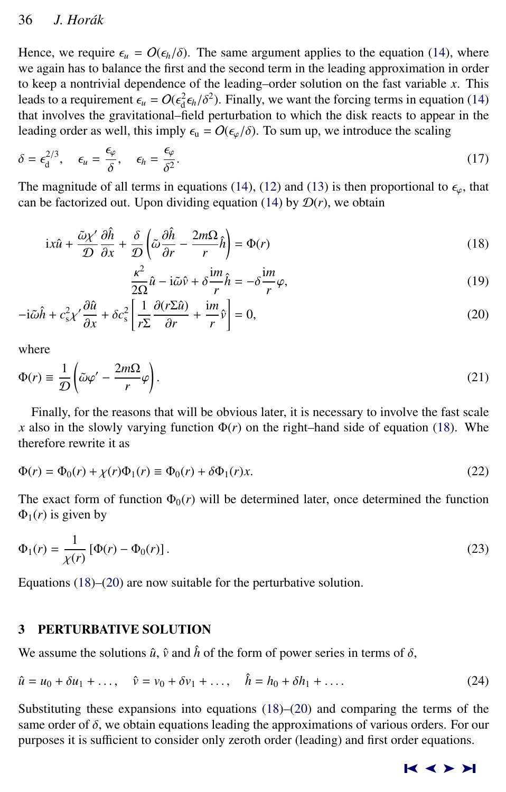<span id="page-3-0"></span>Hence, we require  $\epsilon_u = O(\epsilon_h/\delta)$ . The same argument applies to the equation [\(14\)](#page-2-0), where we again has to balance the first and the second term in the leading approximation in order to keep a nontrivial dependence of the leading–order solution on the fast variable *x*. This leads to a requirement  $\epsilon_u = O(\epsilon_d^2 \epsilon_h/\delta^2)$ . Finally, we want the forcing terms in equation [\(14\)](#page-2-0) that involves the gravitational-field perturbation to which the disk reacts to appear in the that involves the gravitational–field perturbation to which the disk reacts to appear in the leading order as well, this imply  $\epsilon_{\rm u} = O(\epsilon_{\varphi}/\delta)$ . To sum up, we introduce the scaling

$$
\delta = \epsilon_{\rm d}^{2/3}, \quad \epsilon_{\rm u} = \frac{\epsilon_{\varphi}}{\delta}, \quad \epsilon_{\rm h} = \frac{\epsilon_{\varphi}}{\delta^2}.
$$

The magnitude of all terms in equations [\(14\)](#page-2-0), [\(12\)](#page-2-0) and [\(13\)](#page-2-0) is then proportional to  $\epsilon_{\varphi}$ , that can be factorized out Upon dividing equation (14) by  $\mathcal{D}(r)$  we obtain can be factorized out. Upon dividing equation [\(14\)](#page-2-0) by  $\mathcal{D}(r)$ , we obtain

$$
ix\hat{u} + \frac{\tilde{\omega}\chi'}{\mathcal{D}}\frac{\partial\hat{h}}{\partial x} + \frac{\delta}{\mathcal{D}}\left(\tilde{\omega}\frac{\partial\hat{h}}{\partial r} - \frac{2m\Omega}{r}\hat{h}\right) = \Phi(r)
$$
\n(18)

$$
\frac{\kappa^2}{2\Omega}\hat{u} - i\tilde{\omega}\hat{v} + \delta\frac{\mathrm{i}m}{r}\hat{h} = -\delta\frac{\mathrm{i}m}{r}\varphi,\tag{19}
$$

$$
-i\tilde{\omega}\hat{h} + c_s^2 \chi' \frac{\partial \hat{u}}{\partial x} + \delta c_s^2 \left[ \frac{1}{r \Sigma} \frac{\partial (r \Sigma \hat{u})}{\partial r} + \frac{im}{r} \hat{v} \right] = 0,
$$
 (20)

where

$$
\Phi(r) \equiv \frac{1}{D} \left( \tilde{\omega}\varphi' - \frac{2m\Omega}{r} \varphi \right). \tag{21}
$$

Finally, for the reasons that will be obvious later, it is necessary to involve the fast scale *x* also in the slowly varying function  $\Phi(r)$  on the right–hand side of equation (18). Whe therefore rewrite it as

$$
\Phi(r) = \Phi_0(r) + \chi(r)\Phi_1(r) \equiv \Phi_0(r) + \delta\Phi_1(r)x.
$$
\n(22)

The exact form of function  $\Phi_0(r)$  will be determined later, once determined the function  $\Phi_1(r)$  is given by

$$
\Phi_1(r) = \frac{1}{\chi(r)} [\Phi(r) - \Phi_0(r)] \,. \tag{23}
$$

Equations (18)–(20) are now suitable for the perturbative solution.

## 3 PERTURBATIVE SOLUTION

We assume the solutions  $\hat{u}$ ,  $\hat{v}$  and  $\hat{h}$  of the form of power series in terms of  $\delta$ ,

$$
\hat{u} = u_0 + \delta u_1 + \dots, \quad \hat{v} = v_0 + \delta v_1 + \dots, \quad \hat{h} = h_0 + \delta h_1 + \dots
$$
 (24)

Substituting these expansions into equations (18)–(20) and comparing the terms of the same order of  $\delta$ , we obtain equations leading the approximations of various orders. For our purposes it is sufficient to consider only zeroth order (leading) and first order equations.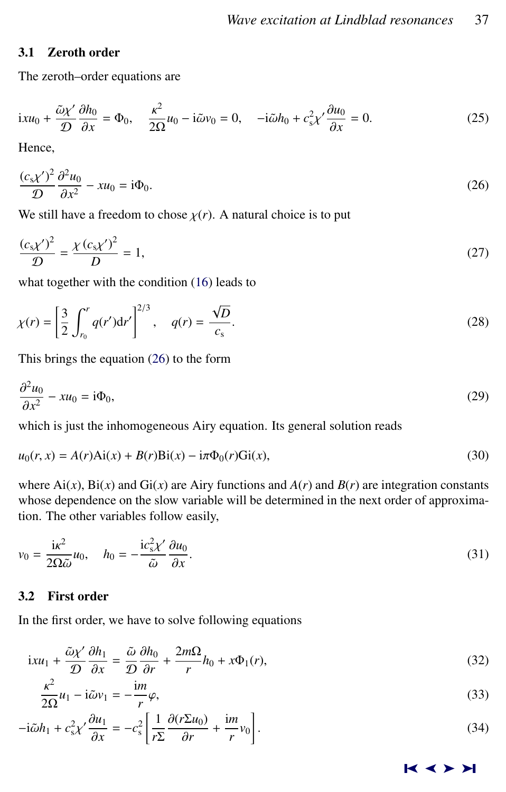# <span id="page-4-0"></span>3.1 Zeroth order

The zeroth–order equations are

$$
ixu_0 + \frac{\tilde{\omega}\chi'}{\mathcal{D}}\frac{\partial h_0}{\partial x} = \Phi_0, \quad \frac{\kappa^2}{2\Omega}u_0 - i\tilde{\omega}v_0 = 0, \quad -i\tilde{\omega}h_0 + c_s^2\chi'\frac{\partial u_0}{\partial x} = 0.
$$
 (25)

Hence,

$$
\frac{(c_s \chi')^2}{\mathcal{D}} \frac{\partial^2 u_0}{\partial x^2} - xu_0 = i \Phi_0.
$$
\n(26)

We still have a freedom to chose  $\chi(r)$ . A natural choice is to put

$$
\frac{(c_s \chi')^2}{D} = \frac{\chi (c_s \chi')^2}{D} = 1,
$$
\n(27)

what together with the condition [\(16\)](#page-2-0) leads to

$$
\chi(r) = \left[\frac{3}{2} \int_{r_0}^r q(r') dr'\right]^{2/3}, \quad q(r) = \frac{\sqrt{D}}{c_s}.
$$
 (28)

This brings the equation (26) to the form

$$
\frac{\partial^2 u_0}{\partial x^2} - xu_0 = i\Phi_0,\tag{29}
$$

which is just the inhomogeneous Airy equation. Its general solution reads

$$
u_0(r, x) = A(r)Ai(x) + B(r)Bi(x) - i\pi \Phi_0(r)Gi(x),
$$
\n(30)

where  $Ai(x)$ ,  $Bi(x)$  and  $Gi(x)$  are Airy functions and  $A(r)$  and  $B(r)$  are integration constants whose dependence on the slow variable will be determined in the next order of approximation. The other variables follow easily,

$$
v_0 = \frac{i\kappa^2}{2\Omega\tilde{\omega}}u_0, \quad h_0 = -\frac{ic_s^2\chi'}{\tilde{\omega}}\frac{\partial u_0}{\partial x}.
$$
\n(31)

# 3.2 First order

In the first order, we have to solve following equations

$$
ixu_1 + \frac{\tilde{\omega}\chi'}{\mathcal{D}}\frac{\partial h_1}{\partial x} = \frac{\tilde{\omega}}{\mathcal{D}}\frac{\partial h_0}{\partial r} + \frac{2m\Omega}{r}h_0 + x\Phi_1(r),\tag{32}
$$

$$
\frac{\kappa^2}{2\Omega}u_1 - i\tilde{\omega}v_1 = -\frac{im}{r}\varphi,\tag{33}
$$

$$
-i\tilde{\omega}h_1 + c_s^2 \chi' \frac{\partial u_1}{\partial x} = -c_s^2 \left[ \frac{1}{r \Sigma} \frac{\partial (r \Sigma u_0)}{\partial r} + \frac{im}{r} v_0 \right].
$$
\n(34)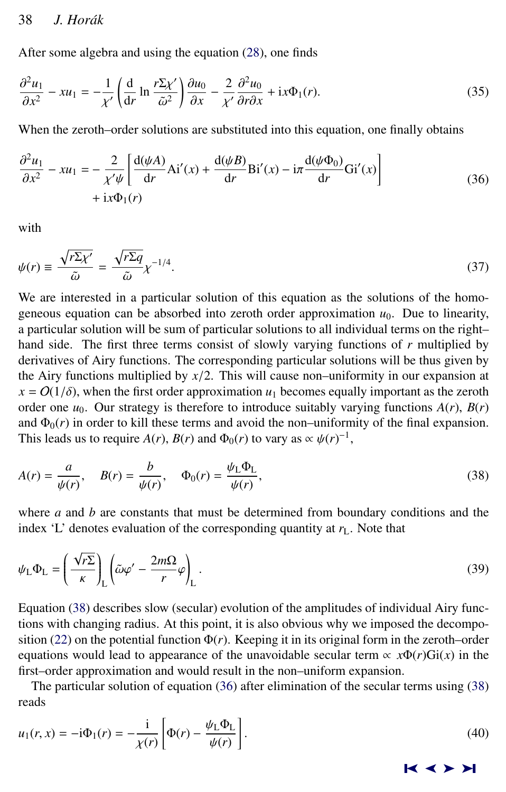<span id="page-5-0"></span>After some algebra and using the equation [\(28\)](#page-4-0), one finds

$$
\frac{\partial^2 u_1}{\partial x^2} - xu_1 = -\frac{1}{\chi'} \left( \frac{d}{dr} \ln \frac{r \Sigma \chi'}{\tilde{\omega}^2} \right) \frac{\partial u_0}{\partial x} - \frac{2}{\chi'} \frac{\partial^2 u_0}{\partial r \partial x} + ix\Phi_1(r). \tag{35}
$$

When the zeroth–order solutions are substituted into this equation, one finally obtains

$$
\frac{\partial^2 u_1}{\partial x^2} - xu_1 = -\frac{2}{\chi'\psi} \left[ \frac{d(\psi A)}{dr} Ai'(x) + \frac{d(\psi B)}{dr} Bi'(x) - i\pi \frac{d(\psi \Phi_0)}{dr} Gi'(x) \right] \n+ ix\Phi_1(r)
$$
\n(36)

with

$$
\psi(r) \equiv \frac{\sqrt{r \Sigma \chi'}}{\tilde{\omega}} = \frac{\sqrt{r \Sigma q}}{\tilde{\omega}} \chi^{-1/4}.
$$
\n(37)

We are interested in a particular solution of this equation as the solutions of the homogeneous equation can be absorbed into zeroth order approximation  $u_0$ . Due to linearity, a particular solution will be sum of particular solutions to all individual terms on the right– hand side. The first three terms consist of slowly varying functions of *r* multiplied by derivatives of Airy functions. The corresponding particular solutions will be thus given by the Airy functions multiplied by  $x/2$ . This will cause non–uniformity in our expansion at  $x = O(1/\delta)$ , when the first order approximation  $u_1$  becomes equally important as the zeroth order one  $u_0$ . Our strategy is therefore to introduce suitably varying functions  $A(r)$ ,  $B(r)$ and  $\Phi_0(r)$  in order to kill these terms and avoid the non–uniformity of the final expansion. This leads us to require *A*(*r*), *B*(*r*) and  $\Phi_0(r)$  to vary as  $\propto \psi(r)^{-1}$ ,

$$
A(r) = \frac{a}{\psi(r)}, \quad B(r) = \frac{b}{\psi(r)}, \quad \Phi_0(r) = \frac{\psi_L \Phi_L}{\psi(r)},
$$
\n
$$
(38)
$$

where *a* and *b* are constants that must be determined from boundary conditions and the index 'L' denotes evaluation of the corresponding quantity at  $r<sub>L</sub>$ . Note that

$$
\psi_{\rm L} \Phi_{\rm L} = \left(\frac{\sqrt{r\Sigma}}{\kappa}\right)_{\rm L} \left(\tilde{\omega}\varphi' - \frac{2m\Omega}{r}\varphi\right)_{\rm L}.
$$
\n(39)

Equation (38) describes slow (secular) evolution of the amplitudes of individual Airy functions with changing radius. At this point, it is also obvious why we imposed the decompo-sition [\(22\)](#page-3-0) on the potential function  $\Phi(r)$ . Keeping it in its original form in the zeroth–order equations would lead to appearance of the unavoidable secular term  $\alpha x \Phi(r) Gi(x)$  in the first–order approximation and would result in the non–uniform expansion.

The particular solution of equation (36) after elimination of the secular terms using (38) reads

$$
u_1(r,x) = -\mathrm{i}\Phi_1(r) = -\frac{\mathrm{i}}{\chi(r)} \left[ \Phi(r) - \frac{\psi_L \Phi_L}{\psi(r)} \right].\tag{40}
$$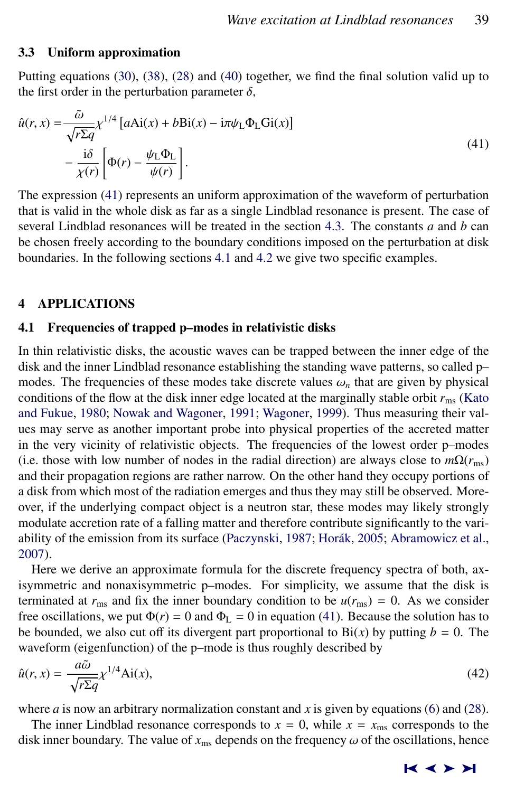#### <span id="page-6-0"></span>3.3 Uniform approximation

Putting equations [\(30\)](#page-4-0), [\(38\)](#page-5-0), [\(28\)](#page-4-0) and [\(40\)](#page-5-0) together, we find the final solution valid up to the first order in the perturbation parameter  $\delta$ ,

$$
\hat{u}(r, x) = \frac{\tilde{\omega}}{\sqrt{r \Sigma q}} \chi^{1/4} \left[ a \text{Ai}(x) + b \text{Bi}(x) - i \pi \psi_{\text{L}} \Phi_{\text{L}} \text{Gi}(x) \right] - \frac{i \delta}{\chi(r)} \left[ \Phi(r) - \frac{\psi_{\text{L}} \Phi_{\text{L}}}{\psi(r)} \right].
$$
\n(41)

The expression (41) represents an uniform approximation of the waveform of perturbation that is valid in the whole disk as far as a single Lindblad resonance is present. The case of several Lindblad resonances will be treated in the section [4.3.](#page-10-0) The constants *a* and *b* can be chosen freely according to the boundary conditions imposed on the perturbation at disk boundaries. In the following sections 4.1 and [4.2](#page-8-0) we give two specific examples.

#### 4 APPLICATIONS

#### 4.1 Frequencies of trapped p–modes in relativistic disks

In thin relativistic disks, the acoustic waves can be trapped between the inner edge of the disk and the inner Lindblad resonance establishing the standing wave patterns, so called p– modes. The frequencies of these modes take discrete values  $\omega_n$  that are given by physical conditions of the flow at the disk inner edge located at the marginally stable orbit  $r_{\text{ms}}$  [\(Kato](#page-12-0) [and Fukue,](#page-12-0) [1980;](#page-12-0) [Nowak and Wagoner,](#page-13-0) [1991;](#page-13-0) [Wagoner,](#page-13-0) [1999\)](#page-13-0). Thus measuring their values may serve as another important probe into physical properties of the accreted matter in the very vicinity of relativistic objects. The frequencies of the lowest order p–modes (i.e. those with low number of nodes in the radial direction) are always close to  $m\Omega(r_{\text{ms}})$ and their propagation regions are rather narrow. On the other hand they occupy portions of a disk from which most of the radiation emerges and thus they may still be observed. Moreover, if the underlying compact object is a neutron star, these modes may likely strongly modulate accretion rate of a falling matter and therefore contribute significantly to the vari-ability of the emission from its surface [\(Paczynski,](#page-13-0) [1987;](#page-13-0) Horák, [2005;](#page-12-0) [Abramowicz et al.,](#page-12-0) [2007\)](#page-12-0).

Here we derive an approximate formula for the discrete frequency spectra of both, axisymmetric and nonaxisymmetric p–modes. For simplicity, we assume that the disk is terminated at  $r_{\text{ms}}$  and fix the inner boundary condition to be  $u(r_{\text{ms}}) = 0$ . As we consider free oscillations, we put  $\Phi(r) = 0$  and  $\Phi_{\text{L}} = 0$  in equation (41). Because the solution has to be bounded, we also cut off its divergent part proportional to  $Bi(x)$  by putting  $b = 0$ . The waveform (eigenfunction) of the p–mode is thus roughly described by

$$
\hat{u}(r,x) = \frac{a\tilde{\omega}}{\sqrt{r\Sigma q}} \chi^{1/4} \text{Ai}(x),\tag{42}
$$

where  $a$  is now an arbitrary normalization constant and  $x$  is given by equations [\(6\)](#page-1-0) and [\(28\)](#page-4-0).

The inner Lindblad resonance corresponds to  $x = 0$ , while  $x = x_{\text{ms}}$  corresponds to the disk inner boundary. The value of  $x_{\text{ms}}$  depends on the frequency  $\omega$  of the oscillations, hence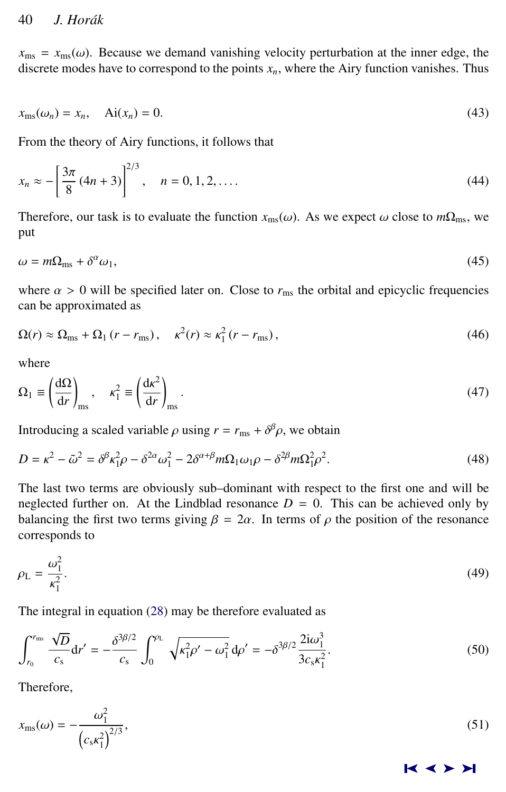<span id="page-7-0"></span> $x_{\text{ms}} = x_{\text{ms}}(\omega)$ . Because we demand vanishing velocity perturbation at the inner edge, the discrete modes have to correspond to the points  $x_n$ , where the Airy function vanishes. Thus

$$
x_{\text{ms}}(\omega_n) = x_n, \quad \text{Ai}(x_n) = 0. \tag{43}
$$

From the theory of Airy functions, it follows that

$$
x_n \approx -\left[\frac{3\pi}{8}(4n+3)\right]^{2/3}, \quad n = 0, 1, 2, \dots. \tag{44}
$$

Therefore, our task is to evaluate the function  $x_{\text{ms}}(\omega)$ . As we expect  $\omega$  close to  $m\Omega_{\text{ms}}$ , we put

$$
\omega = m\Omega_{\rm ms} + \delta^{\alpha}\omega_1,\tag{45}
$$

where  $\alpha > 0$  will be specified later on. Close to  $r_{\text{ms}}$  the orbital and epicyclic frequencies can be approximated as

$$
\Omega(r) \approx \Omega_{\text{ms}} + \Omega_1 (r - r_{\text{ms}}), \quad \kappa^2(r) \approx \kappa_1^2 (r - r_{\text{ms}}), \tag{46}
$$

where

$$
\Omega_1 \equiv \left(\frac{d\Omega}{dr}\right)_{\text{ms}}, \quad \kappa_1^2 \equiv \left(\frac{dk^2}{dr}\right)_{\text{ms}}.\tag{47}
$$

Introducing a scaled variable  $\rho$  using  $r = r_{\text{ms}} + \delta^{\beta} \rho$ , we obtain

$$
D = \kappa^2 - \tilde{\omega}^2 = \delta^\beta \kappa_1^2 \rho - \delta^{2\alpha} \omega_1^2 - 2\delta^{\alpha+\beta} m \Omega_1 \omega_1 \rho - \delta^{2\beta} m \Omega_1^2 \rho^2.
$$
 (48)

The last two terms are obviously sub–dominant with respect to the first one and will be neglected further on. At the Lindblad resonance  $D = 0$ . This can be achieved only by balancing the first two terms giving  $\beta = 2\alpha$ . In terms of  $\rho$  the position of the resonance corresponds to

$$
\rho_{\rm L} = \frac{\omega_1^2}{\kappa_1^2}.\tag{49}
$$

The integral in equation [\(28\)](#page-4-0) may be therefore evaluated as

$$
\int_{r_0}^{r_{\rm ms}} \frac{\sqrt{D}}{c_s} dr' = -\frac{\delta^{3\beta/2}}{c_s} \int_0^{\rho_{\rm L}} \sqrt{\kappa_{\rm 1}^2 \rho' - \omega_{\rm 1}^2} \, d\rho' = -\delta^{3\beta/2} \frac{2i\omega_{\rm 1}^3}{3c_s \kappa_{\rm 1}^2}.
$$
\n(50)

Therefore,

$$
x_{\rm ms}(\omega) = -\frac{\omega_1^2}{\left(c_s \kappa_1^2\right)^{2/3}},\tag{51}
$$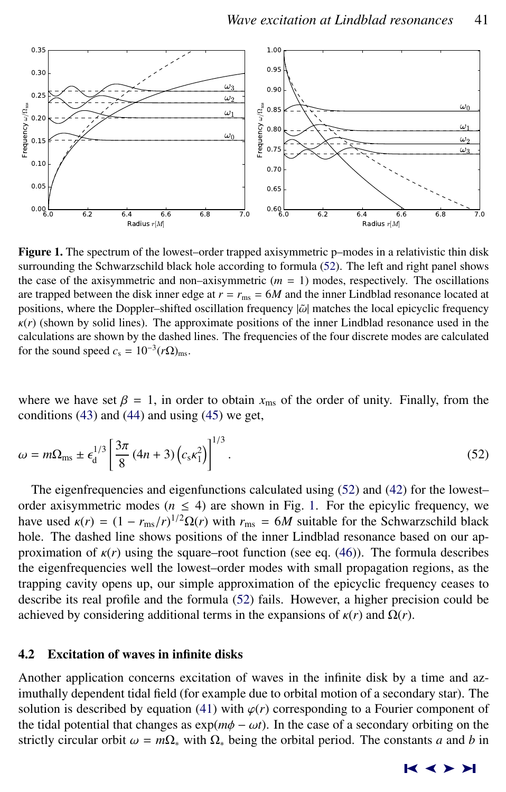<span id="page-8-0"></span>

Figure 1. The spectrum of the lowest–order trapped axisymmetric p–modes in a relativistic thin disk surrounding the Schwarzschild black hole according to formula (52). The left and right panel shows the case of the axisymmetric and non–axisymmetric  $(m = 1)$  modes, respectively. The oscillations are trapped between the disk inner edge at  $r = r_{\text{ms}} = 6M$  and the inner Lindblad resonance located at positions, where the Doppler–shifted oscillation frequency  $|\tilde{\omega}|$  matches the local epicyclic frequency  $\kappa(r)$  (shown by solid lines). The approximate positions of the inner Lindblad resonance used in the calculations are shown by the dashed lines. The frequencies of the four discrete modes are calculated for the sound speed  $c_s = 10^{-3} (r\Omega)_{\text{ms}}$ .

where we have set  $\beta = 1$ , in order to obtain  $x_{\text{ms}}$  of the order of unity. Finally, from the conditions  $(43)$  and  $(44)$  and using  $(45)$  we get,

$$
\omega = m\Omega_{\rm ms} \pm \epsilon_{\rm d}^{1/3} \left[ \frac{3\pi}{8} (4n+3) \left( c_{\rm s} \kappa_1^2 \right) \right]^{1/3} . \tag{52}
$$

The eigenfrequencies and eigenfunctions calculated using (52) and [\(42\)](#page-6-0) for the lowest– order axisymmetric modes ( $n \leq 4$ ) are shown in Fig. 1. For the epicylic frequency, we have used  $\kappa(r) = (1 - r_{\rm ms}/r)^{1/2} \Omega(r)$  with  $r_{\rm ms} = 6M$  suitable for the Schwarzschild black<br>hole. The dashed line shows positions of the inner Lindblad resonance based on our anhole. The dashed line shows positions of the inner Lindblad resonance based on our approximation of  $\kappa(r)$  using the square–root function (see eq. [\(46\)](#page-7-0)). The formula describes the eigenfrequencies well the lowest–order modes with small propagation regions, as the trapping cavity opens up, our simple approximation of the epicyclic frequency ceases to describe its real profile and the formula (52) fails. However, a higher precision could be achieved by considering additional terms in the expansions of  $\kappa(r)$  and  $\Omega(r)$ .

#### 4.2 Excitation of waves in infinite disks

Another application concerns excitation of waves in the infinite disk by a time and azimuthally dependent tidal field (for example due to orbital motion of a secondary star). The solution is described by equation [\(41\)](#page-6-0) with  $\varphi(r)$  corresponding to a Fourier component of the tidal potential that changes as  $exp(m\phi - \omega t)$ . In the case of a secondary orbiting on the strictly circular orbit  $\omega = m\Omega_*$  with  $\Omega_*$  being the orbital period. The constants *a* and *b* in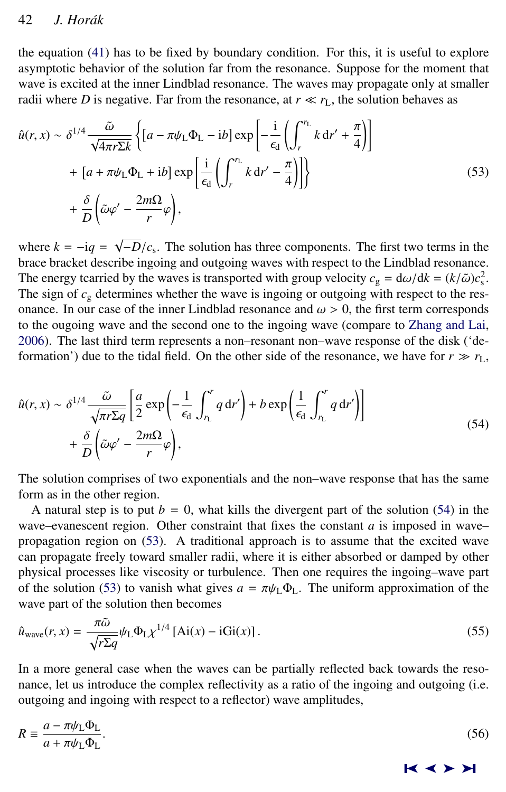the equation [\(41\)](#page-6-0) has to be fixed by boundary condition. For this, it is useful to explore asymptotic behavior of the solution far from the resonance. Suppose for the moment that wave is excited at the inner Lindblad resonance. The waves may propagate only at smaller radii where *D* is negative. Far from the resonance, at  $r \ll r_L$ , the solution behaves as

$$
\hat{u}(r, x) \sim \delta^{1/4} \frac{\tilde{\omega}}{\sqrt{4\pi r \Sigma k}} \left\{ \left[ a - \pi \psi_L \Phi_L - ib \right] \exp \left[ -\frac{i}{\epsilon_d} \left( \int_r^{r_L} k dr' + \frac{\pi}{4} \right) \right] \right\} \n+ \left[ a + \pi \psi_L \Phi_L + ib \right] \exp \left[ \frac{i}{\epsilon_d} \left( \int_r^{r_L} k dr' - \frac{\pi}{4} \right) \right] \right\} \n+ \frac{\delta}{D} \left( \tilde{\omega} \varphi' - \frac{2m\Omega}{r} \varphi \right),
$$
\n(53)

where  $k = -iq =$ √  $-D/c_s$ . The solution has three components. The first two terms in the helphad resonance brace bracket describe ingoing and outgoing waves with respect to the Lindblad resonance. The energy tcarried by the waves is transported with group velocity  $c_g = d\omega/dk = (k/\tilde{\omega})c_s^2$ .<br>The sign of c, determines whether the wave is ingoing or outgoing with respect to the res-The sign of  $c_g$  determines whether the wave is ingoing or outgoing with respect to the resonance. In our case of the inner Lindblad resonance and  $\omega > 0$ , the first term corresponds to the ougoing wave and the second one to the ingoing wave (compare to [Zhang and Lai,](#page-13-0) [2006\)](#page-13-0). The last third term represents a non–resonant non–wave response of the disk ('deformation') due to the tidal field. On the other side of the resonance, we have for  $r \gg r_L$ ,

$$
\hat{u}(r, x) \sim \delta^{1/4} \frac{\tilde{\omega}}{\sqrt{\pi r \Sigma q}} \left[ \frac{a}{2} \exp\left(-\frac{1}{\epsilon_d} \int_{r_L}^r q \, dr'\right) + b \exp\left(\frac{1}{\epsilon_d} \int_{r_L}^r q \, dr'\right) \right] + \frac{\delta}{D} \left( \tilde{\omega} \varphi' - \frac{2m\Omega}{r} \varphi \right),
$$
\n(54)

The solution comprises of two exponentials and the non–wave response that has the same form as in the other region.

A natural step is to put  $b = 0$ , what kills the divergent part of the solution (54) in the wave–evanescent region. Other constraint that fixes the constant  $a$  is imposed in wave– propagation region on (53). A traditional approach is to assume that the excited wave can propagate freely toward smaller radii, where it is either absorbed or damped by other physical processes like viscosity or turbulence. Then one requires the ingoing–wave part of the solution (53) to vanish what gives  $a = \pi \psi_L \Phi_L$ . The uniform approximation of the wave part of the solution then becomes

$$
\hat{u}_{\text{wave}}(r,x) = \frac{\pi \tilde{\omega}}{\sqrt{r \Sigma q}} \psi_{\text{L}} \Phi_{\text{L}} \chi^{1/4} \left[ \text{Ai}(x) - \text{i} \text{Gi}(x) \right]. \tag{55}
$$

In a more general case when the waves can be partially reflected back towards the resonance, let us introduce the complex reflectivity as a ratio of the ingoing and outgoing (i.e. outgoing and ingoing with respect to a reflector) wave amplitudes,

$$
R = \frac{a - \pi \psi_{\text{L}} \Phi_{\text{L}}}{a + \pi \psi_{\text{L}} \Phi_{\text{L}}}. \tag{56}
$$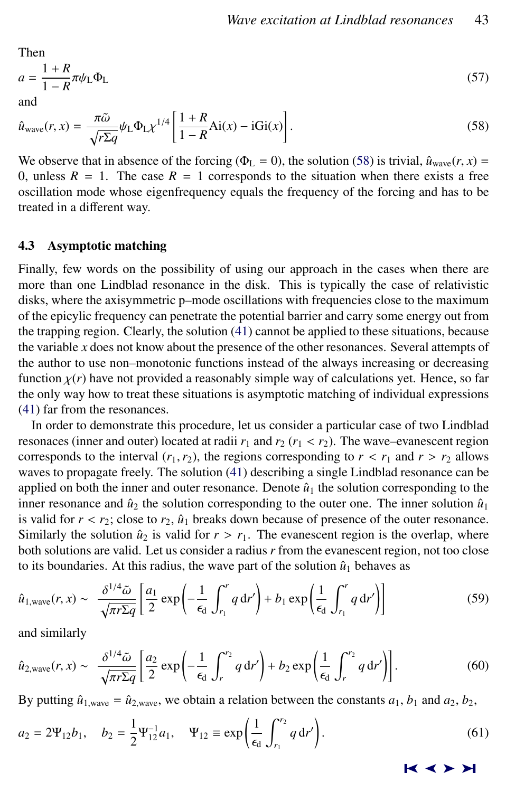<span id="page-10-0"></span>Then  
\n
$$
a = \frac{1+R}{1-R} \pi \psi_L \Phi_L
$$
\n(57)

and

$$
\hat{u}_{\text{wave}}(r,x) = \frac{\pi \tilde{\omega}}{\sqrt{r \Sigma q}} \psi_{\text{L}} \Phi_{\text{L}} \chi^{1/4} \left[ \frac{1+R}{1-R} \text{Ai}(x) - i \text{Gi}(x) \right]. \tag{58}
$$

We observe that in absence of the forcing ( $\Phi_L = 0$ ), the solution (58) is trivial,  $\hat{u}_{wave}(r, x) =$ 0, unless  $R = 1$ . The case  $R = 1$  corresponds to the situation when there exists a free oscillation mode whose eigenfrequency equals the frequency of the forcing and has to be treated in a different way.

#### 4.3 Asymptotic matching

Finally, few words on the possibility of using our approach in the cases when there are more than one Lindblad resonance in the disk. This is typically the case of relativistic disks, where the axisymmetric p–mode oscillations with frequencies close to the maximum of the epicylic frequency can penetrate the potential barrier and carry some energy out from the trapping region. Clearly, the solution [\(41\)](#page-6-0) cannot be applied to these situations, because the variable *x* does not know about the presence of the other resonances. Several attempts of the author to use non–monotonic functions instead of the always increasing or decreasing function  $\chi(r)$  have not provided a reasonably simple way of calculations yet. Hence, so far the only way how to treat these situations is asymptotic matching of individual expressions [\(41\)](#page-6-0) far from the resonances.

In order to demonstrate this procedure, let us consider a particular case of two Lindblad resonaces (inner and outer) located at radii  $r_1$  and  $r_2$  ( $r_1 < r_2$ ). The wave–evanescent region corresponds to the interval  $(r_1, r_2)$ , the regions corresponding to  $r < r_1$  and  $r > r_2$  allows waves to propagate freely. The solution [\(41\)](#page-6-0) describing a single Lindblad resonance can be applied on both the inner and outer resonance. Denote  $\hat{u}_1$  the solution corresponding to the inner resonance and  $\hat{u}_2$  the solution corresponding to the outer one. The inner solution  $\hat{u}_1$ is valid for  $r < r_2$ ; close to  $r_2$ ,  $\hat{u}_1$  breaks down because of presence of the outer resonance. Similarly the solution  $\hat{u}_2$  is valid for  $r > r_1$ . The evanescent region is the overlap, where both solutions are valid. Let us consider a radius *r* from the evanescent region, not too close to its boundaries. At this radius, the wave part of the solution  $\hat{u}_1$  behaves as

$$
\hat{u}_{1,\text{wave}}(r,x) \sim \frac{\delta^{1/4}\tilde{\omega}}{\sqrt{\pi r \Sigma q}} \left[ \frac{a_1}{2} \exp\left(-\frac{1}{\epsilon_d} \int_{r_1}^r q \, dr'\right) + b_1 \exp\left(\frac{1}{\epsilon_d} \int_{r_1}^r q \, dr'\right) \right] \tag{59}
$$

and similarly

$$
\hat{u}_{2,\text{wave}}(r,x) \sim \frac{\delta^{1/4}\tilde{\omega}}{\sqrt{\pi r \Sigma q}} \left[ \frac{a_2}{2} \exp\left(-\frac{1}{\epsilon_d} \int_r^{r_2} q \, dr'\right) + b_2 \exp\left(\frac{1}{\epsilon_d} \int_r^{r_2} q \, dr'\right) \right].\tag{60}
$$

By putting  $\hat{u}_{1,\text{wave}} = \hat{u}_{2,\text{wave}}$ , we obtain a relation between the constants  $a_1, b_1$  and  $a_2, b_2$ ,

$$
a_2 = 2\Psi_{12}b_1, \quad b_2 = \frac{1}{2}\Psi_{12}^{-1}a_1, \quad \Psi_{12} \equiv \exp\left(\frac{1}{\epsilon_d} \int_{r_1}^{r_2} q \, dr'\right).
$$
 (61)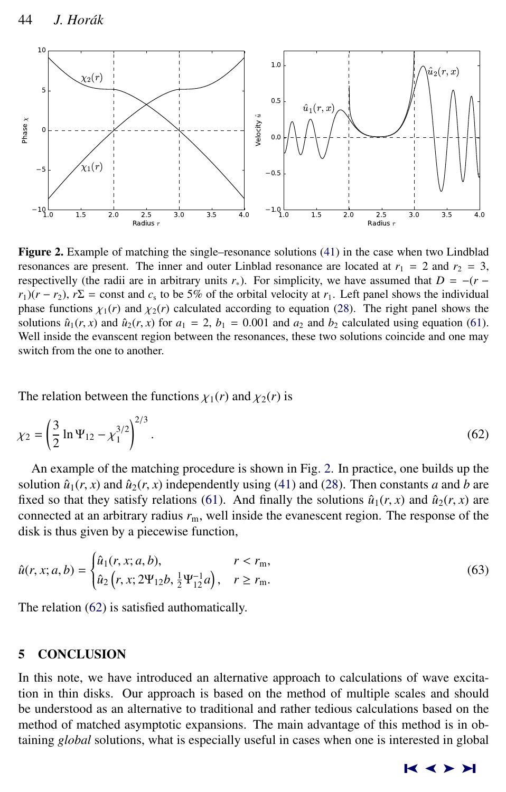

Figure 2. Example of matching the single–resonance solutions [\(41\)](#page-6-0) in the case when two Lindblad resonances are present. The inner and outer Linblad resonance are located at  $r_1 = 2$  and  $r_2 = 3$ , respectivelly (the radii are in arbitrary units  $r<sub>*</sub>$ ). For simplicity, we have assumed that  $D = -(r - r)$  $r_1$ )( $r - r_2$ ),  $r\Sigma$  = const and  $c_s$  to be 5% of the orbital velocity at  $r_1$ . Left panel shows the individual phase functions  $\chi_1(r)$  and  $\chi_2(r)$  calculated according to equation [\(28\)](#page-4-0). The right panel shows the solutions  $\hat{u}_1(r, x)$  and  $\hat{u}_2(r, x)$  for  $a_1 = 2$ ,  $b_1 = 0.001$  and  $a_2$  and  $b_2$  calculated using equation [\(61\)](#page-10-0). Well inside the evanscent region between the resonances, these two solutions coincide and one may switch from the one to another.

The relation between the functions  $\chi_1(r)$  and  $\chi_2(r)$  is

$$
\chi_2 = \left(\frac{3}{2}\ln\Psi_{12} - \chi_1^{3/2}\right)^{2/3}.\tag{62}
$$

An example of the matching procedure is shown in Fig. 2. In practice, one builds up the solution  $\hat{u}_1(r, x)$  and  $\hat{u}_2(r, x)$  independently using [\(41\)](#page-6-0) and [\(28\)](#page-4-0). Then constants *a* and *b* are fixed so that they satisfy relations [\(61\)](#page-10-0). And finally the solutions  $\hat{u}_1(r, x)$  and  $\hat{u}_2(r, x)$  are connected at an arbitrary radius  $r<sub>m</sub>$ , well inside the evanescent region. The response of the disk is thus given by a piecewise function,

$$
\hat{u}(r, x; a, b) = \begin{cases} \hat{u}_1(r, x; a, b), & r < r_m, \\ \hat{u}_2(r, x; 2\Psi_{12}b, \frac{1}{2}\Psi_{12}^{-1}a), & r \ge r_m. \end{cases}
$$
\n(63)

The relation (62) is satisfied authomatically.

# 5 CONCLUSION

In this note, we have introduced an alternative approach to calculations of wave excitation in thin disks. Our approach is based on the method of multiple scales and should be understood as an alternative to traditional and rather tedious calculations based on the method of matched asymptotic expansions. The main advantage of this method is in obtaining *global* solutions, what is especially useful in cases when one is interested in global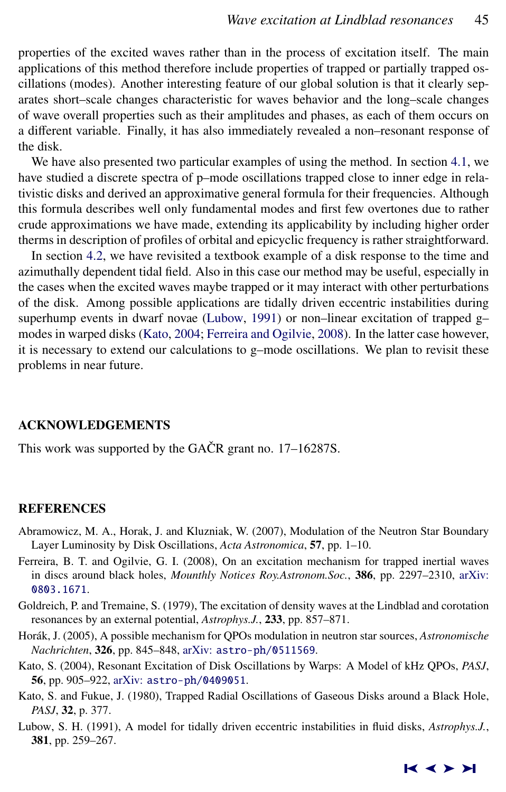<span id="page-12-0"></span>properties of the excited waves rather than in the process of excitation itself. The main applications of this method therefore include properties of trapped or partially trapped oscillations (modes). Another interesting feature of our global solution is that it clearly separates short–scale changes characteristic for waves behavior and the long–scale changes of wave overall properties such as their amplitudes and phases, as each of them occurs on a different variable. Finally, it has also immediately revealed a non–resonant response of the disk.

We have also presented two particular examples of using the method. In section [4.1,](#page-6-0) we have studied a discrete spectra of p–mode oscillations trapped close to inner edge in relativistic disks and derived an approximative general formula for their frequencies. Although this formula describes well only fundamental modes and first few overtones due to rather crude approximations we have made, extending its applicability by including higher order therms in description of profiles of orbital and epicyclic frequency is rather straightforward.

In section [4.2,](#page-8-0) we have revisited a textbook example of a disk response to the time and azimuthally dependent tidal field. Also in this case our method may be useful, especially in the cases when the excited waves maybe trapped or it may interact with other perturbations of the disk. Among possible applications are tidally driven eccentric instabilities during superhump events in dwarf novae (Lubow, 1991) or non–linear excitation of trapped g– modes in warped disks (Kato, 2004; Ferreira and Ogilvie, 2008). In the latter case however, it is necessary to extend our calculations to  $g$ -mode oscillations. We plan to revisit these problems in near future.

#### ACKNOWLEDGEMENTS

This work was supported by the GACR grant no.  $17-16287S$ .

#### **REFERENCES**

- Abramowicz, M. A., Horak, J. and Kluzniak, W. (2007), Modulation of the Neutron Star Boundary Layer Luminosity by Disk Oscillations, *Acta Astronomica*, 57, pp. 1–10.
- Ferreira, B. T. and Ogilvie, G. I. (2008), On an excitation mechanism for trapped inertial waves in discs around black holes, *Mounthly Notices Roy.Astronom.Soc.*, 386, pp. 2297–2310, [arXiv:](http://www.arxiv.org/abs/0803.1671) [0803.1671](http://www.arxiv.org/abs/0803.1671).
- Goldreich, P. and Tremaine, S. (1979), The excitation of density waves at the Lindblad and corotation resonances by an external potential, *Astrophys.J.*, 233, pp. 857–871.
- Horák, J. (2005), A possible mechanism for QPOs modulation in neutron star sources, Astronomische *Nachrichten*, 326, pp. 845–848, arXiv: [astro-ph/0511569](http://www.arxiv.org/abs/astro-ph/0511569).
- Kato, S. (2004), Resonant Excitation of Disk Oscillations by Warps: A Model of kHz QPOs, *PASJ*, 56, pp. 905–922, arXiv: [astro-ph/0409051](http://www.arxiv.org/abs/astro-ph/0409051).
- Kato, S. and Fukue, J. (1980), Trapped Radial Oscillations of Gaseous Disks around a Black Hole, *PASJ*, 32, p. 377.
- Lubow, S. H. (1991), A model for tidally driven eccentric instabilities in fluid disks, *Astrophys.J.*, 381, pp. 259–267.